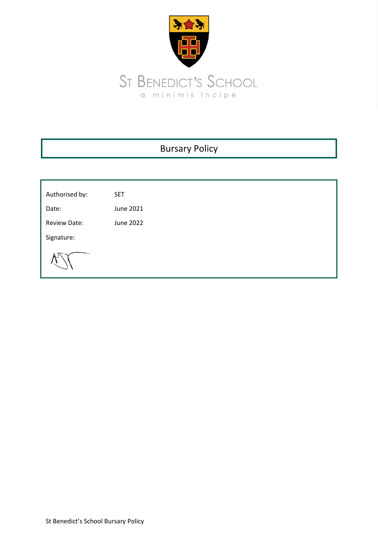

| <b>Bursary Policy</b> |            |  |  |
|-----------------------|------------|--|--|
|                       |            |  |  |
| Authorised by:        | <b>SET</b> |  |  |
| Date:                 | June 2021  |  |  |
| <b>Review Date:</b>   | June 2022  |  |  |
| Signature:            |            |  |  |
|                       |            |  |  |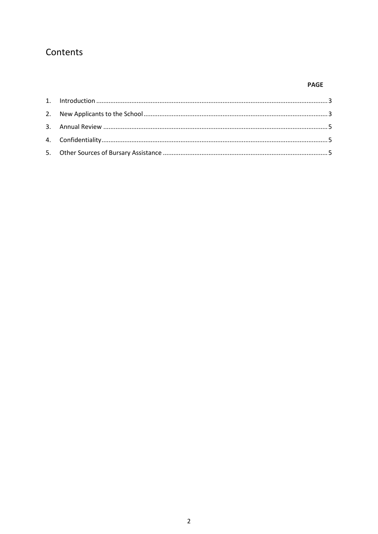# Contents

# **PAGE**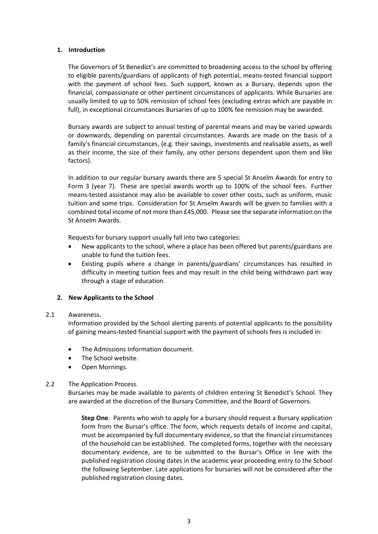#### <span id="page-2-0"></span>**1. Introduction**

The Governors of St Benedict's are committed to broadening access to the school by offering to eligible parents/guardians of applicants of high potential, means-tested financial support with the payment of school fees. Such support, known as a Bursary, depends upon the financial, compassionate or other pertinent circumstances of applicants. While Bursaries are usually limited to up to 50% remission of school fees (excluding extras which are payable in full), in exceptional circumstances Bursaries of up to 100% fee remission may be awarded.

Bursary awards are subject to annual testing of parental means and may be varied upwards or downwards, depending on parental circumstances. Awards are made on the basis of a family's financial circumstances, (e.g. their savings, investments and realisable assets, as well as their income, the size of their family, any other persons dependent upon them and like factors).

In addition to our regular bursary awards there are 5 special St Anselm Awards for entry to Form 3 (year 7). These are special awards worth up to 100% of the school fees. Further means-tested assistance may also be available to cover other costs, such as uniform, music tuition and some trips. Consideration for St Anselm Awards will be given to families with a combined total income of not more than £45,000. Please see the separate information on the St Anselm Awards.

Requests for bursary support usually fall into two categories:

- New applicants to the school, where a place has been offered but parents/guardians are unable to fund the tuition fees.
- Existing pupils where a change in parents/guardians' circumstances has resulted in difficulty in meeting tuition fees and may result in the child being withdrawn part way through a stage of education.

## <span id="page-2-1"></span>**2. New Applicants to the School**

#### 2.1 Awareness.

Information provided by the School alerting parents of potential applicants to the possibility of gaining means-tested financial support with the payment of schools fees is included in:

- The Admissions Information document.
- The School website.
- Open Mornings.

#### 2.2 The Application Process.

Bursaries may be made available to parents of children entering St Benedict's School. They are awarded at the discretion of the Bursary Committee, and the Board of Governors.

**Step One**. Parents who wish to apply for a bursary should request a Bursary application form from the Bursar's office. The form, which requests details of income and capital, must be accompanied by full documentary evidence, so that the financial circumstances of the household can be established. The completed forms, together with the necessary documentary evidence, are to be submitted to the Bursar's Office in line with the published registration closing dates in the academic year proceeding entry to the School the following September. Late applications for bursaries will not be considered after the published registration closing dates.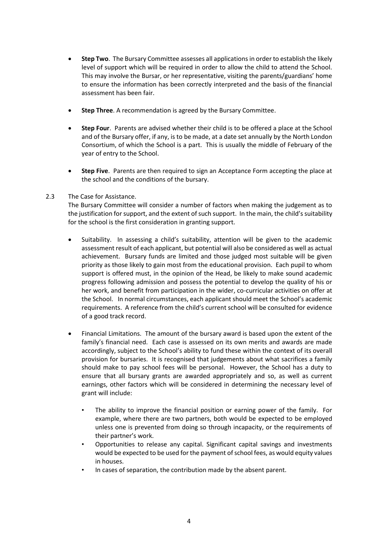- **Step Two**. The Bursary Committee assesses all applications in order to establish the likely level of support which will be required in order to allow the child to attend the School. This may involve the Bursar, or her representative, visiting the parents/guardians' home to ensure the information has been correctly interpreted and the basis of the financial assessment has been fair.
- **Step Three**. A recommendation is agreed by the Bursary Committee.
- **Step Four**. Parents are advised whether their child is to be offered a place at the School and of the Bursary offer, if any, is to be made, at a date set annually by the North London Consortium, of which the School is a part. This is usually the middle of February of the year of entry to the School.
- **Step Five**. Parents are then required to sign an Acceptance Form accepting the place at the school and the conditions of the bursary.

### 2.3 The Case for Assistance.

The Bursary Committee will consider a number of factors when making the judgement as to the justification for support, and the extent of such support. In the main, the child's suitability for the school is the first consideration in granting support.

- Suitability. In assessing a child's suitability, attention will be given to the academic assessment result of each applicant, but potential will also be considered as well as actual achievement. Bursary funds are limited and those judged most suitable will be given priority as those likely to gain most from the educational provision. Each pupil to whom support is offered must, in the opinion of the Head, be likely to make sound academic progress following admission and possess the potential to develop the quality of his or her work, and benefit from participation in the wider, co-curricular activities on offer at the School. In normal circumstances, each applicant should meet the School's academic requirements. A reference from the child's current school will be consulted for evidence of a good track record.
- Financial Limitations. The amount of the bursary award is based upon the extent of the family's financial need. Each case is assessed on its own merits and awards are made accordingly, subject to the School's ability to fund these within the context of its overall provision for bursaries. It is recognised that judgements about what sacrifices a family should make to pay school fees will be personal. However, the School has a duty to ensure that all bursary grants are awarded appropriately and so, as well as current earnings, other factors which will be considered in determining the necessary level of grant will include:
	- The ability to improve the financial position or earning power of the family. For example, where there are two partners, both would be expected to be employed unless one is prevented from doing so through incapacity, or the requirements of their partner's work.
	- Opportunities to release any capital. Significant capital savings and investments would be expected to be used for the payment of school fees, as would equity values in houses.
	- In cases of separation, the contribution made by the absent parent.